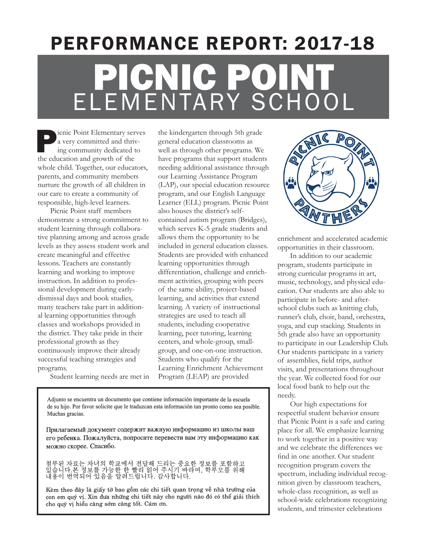# PERFORMANCE REPORT: 2017-18 PICNIC PO ELEMENTARY SCHOOL

icnic Point Elementary serves a very committed and thriving community dedicated to the education and growth of the whole child. Together, our educators, parents, and community members nurture the growth of all children in our care to create a community of responsible, high-level learners.

Picnic Point staff members demonstrate a strong commitment to student learning through collaborative planning among and across grade levels as they assess student work and create meaningful and effective lessons. Teachers are constantly learning and working to improve instruction. In addition to professional development during earlydismissal days and book studies, many teachers take part in additional learning opportunities through classes and workshops provided in the district. They take pride in their professional growth as they continuously improve their already successful teaching strategies and programs.

the kindergarten through 5th grade general education classrooms as well as through other programs. We have programs that support students needing additional assistance through our Learning Assistance Program (LAP), our special education resource program, and our English Language Learner (ELL) program. Picnic Point also houses the district's selfcontained autism program (Bridges), which serves K-5 grade students and allows them the opportunity to be included in general education classes. Students are provided with enhanced learning opportunities through differentiation, challenge and enrichment activities, grouping with peers of the same ability, project-based learning, and activities that extend learning. A variety of instructional strategies are used to teach all students, including cooperative learning, peer tutoring, learning centers, and whole-group, smallgroup, and one-on-one instruction. Students who qualify for the Learning Enrichment Achievement Program (LEAP) are provided

Student learning needs are met in

Adjunto se encuentra un documento que contiene información importante de la escuela de su hijo. Por favor solicite que le traduzcan esta información tan pronto como sea posible. Muchas gracias.

Прилагаемый документ содержит важную информацию из школы ваш его ребенка. Пожалуйста, попросите перевести вам эту информацию как можно скорее. Спасибо.

첨부된 자료는 자녀의 학교에서 전달해 드리는 중요한 정보를 포함하고<br>있습니다.본 정보를 가능한 한 빨리 읽어 주시기 바라며, 학부모를 위해<br>내용이 번역되어 있음을 알려드립니다. 감사합니다.

Kèm theo đây là giấy tờ bao gồm các chi tiết quan trọng về nhà trường của con em quý vị. Xin đưa những chi tiết này cho người nào đó có thể giải thích cho quý vi hiểu càng sớm càng tốt. Cám ơn.



enrichment and accelerated academic opportunities in their classroom.

In addition to our academic program, students participate in strong curricular programs in art, music, technology, and physical education. Our students are also able to participate in before- and afterschool clubs such as knitting club, runner's club, choir, band, orchestra, yoga, and cup stacking. Students in 5th grade also have an opportunity to participate in our Leadership Club. Our students participate in a variety of assemblies, field trips, author visits, and presentations throughout the year. We collected food for our local food bank to help out the needy.

Our high expectations for respectful student behavior ensure that Picnic Point is a safe and caring place for all. We emphasize learning to work together in a positive way and we celebrate the differences we find in one another. Our student recognition program covers the spectrum, including individual recognition given by classroom teachers, whole-class recognition, as well as school-wide celebrations recognizing students, and trimester celebrations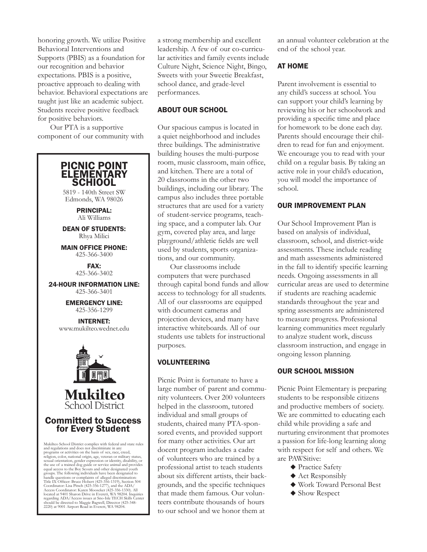honoring growth. We utilize Positive Behavioral Interventions and Supports (PBIS) as a foundation for our recognition and behavior expectations. PBIS is a positive, proactive approach to dealing with behavior. Behavioral expectations are taught just like an academic subject. Students receive positive feedback for positive behaviors.

Our PTA is a supportive component of our community with



a strong membership and excellent leadership. A few of our co-curricular activities and family events include Culture Night, Science Night, Bingo, Sweets with your Sweetie Breakfast, school dance, and grade-level performances.

### ABOUT OUR SCHOOL

Our spacious campus is located in a quiet neighborhood and includes three buildings. The administrative building houses the multi-purpose room, music classroom, main office, and kitchen. There are a total of 20 classrooms in the other two buildings, including our library. The campus also includes three portable structures that are used for a variety of student-service programs, teaching space, and a computer lab. Our gym, covered play area, and large playground/athletic fields are well used by students, sports organizations, and our community.

Our classrooms include computers that were purchased through capital bond funds and allow access to technology for all students. All of our classrooms are equipped with document cameras and projection devices, and many have interactive whiteboards. All of our students use tablets for instructional purposes.

# VOLUNTEERING

Picnic Point is fortunate to have a large number of parent and community volunteers. Over 200 volunteers helped in the classroom, tutored individual and small groups of students, chaired many PTA-sponsored events, and provided support for many other activities. Our art docent program includes a cadre of volunteers who are trained by a professional artist to teach students about six different artists, their backgrounds, and the specific techniques that made them famous. Our volunteers contribute thousands of hours to our school and we honor them at

an annual volunteer celebration at the end of the school year.

# AT HOME

Parent involvement is essential to any child's success at school. You can support your child's learning by reviewing his or her schoolwork and providing a specific time and place for homework to be done each day. Parents should encourage their children to read for fun and enjoyment. We encourage you to read with your child on a regular basis. By taking an active role in your child's education, you will model the importance of school.

### OUR IMPROVEMENT PLAN

Our School Improvement Plan is based on analysis of individual, classroom, school, and district-wide assessments. These include reading and math assessments administered in the fall to identify specific learning needs. Ongoing assessments in all curricular areas are used to determine if students are reaching academic standards throughout the year and spring assessments are administered to measure progress. Professional learning communities meet regularly to analyze student work, discuss classroom instruction, and engage in ongoing lesson planning.

# OUR SCHOOL MISSION

Picnic Point Elementary is preparing students to be responsible citizens and productive members of society. We are committed to educating each child while providing a safe and nurturing environment that promotes a passion for life-long learning along with respect for self and others. We are PAWSitive:

- ◆ Practice Safety
- $\blacklozenge$  Act Responsibly
- ◆ Work Toward Personal Best
- $\blacklozenge$  Show Respect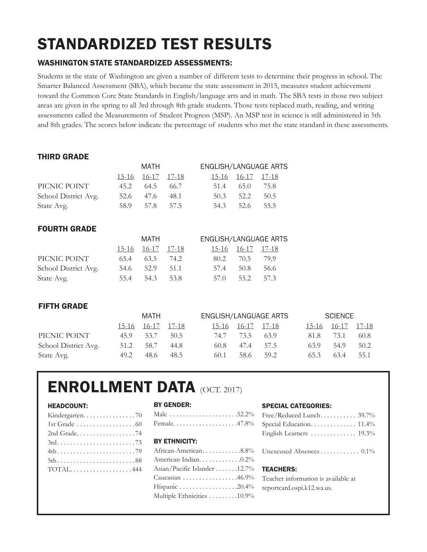# STANDARDIZED TEST RESULTS

# WASHINGTON STATE STANDARDIZED ASSESSMENTS:

Students in the state of Washington are given a number of different tests to determine their progress in school. The Smarter Balanced Assessment (SBA), which became the state assessment in 2015, measures student achievement toward the Common Core State Standards in English/language arts and in math. The SBA tests in those two subject areas are given in the spring to all 3rd through 8th grade students. Those tests replaced math, reading, and writing assessments called the Measurements of Student Progress (MSP). An MSP test in science is still administered in 5th and 8th grades. The scores below indicate the percentage of students who met the state standard in these assessments.

# THIRD GRADE

|                      |      | MATH              |           | <b>ENGLISH/LANGUAGE ARTS</b> |                   |           |  |
|----------------------|------|-------------------|-----------|------------------------------|-------------------|-----------|--|
|                      |      | 15-16 16-17 17-18 |           |                              | 15-16 16-17 17-18 |           |  |
| PICNIC POINT         | 45.2 |                   | 64.5 66.7 | 51.4                         |                   | 65.0 75.8 |  |
| School District Avg. |      | 52.6 47.6         | 48.1      | 50.3                         | 52.2              | 50.5      |  |
| State Avg.           | 58.9 | 57.8              | 57.5      | 54.3                         | 52.6              | 55.5      |  |

# FOURTH GRADE

|                      |      | MATH              |      |      |                   | ENGLISH/LANGUAGE ARTS |
|----------------------|------|-------------------|------|------|-------------------|-----------------------|
|                      |      | 15-16 16-17 17-18 |      |      | 15-16 16-17 17-18 |                       |
| PICNIC POINT         | 65.4 | $63.5$ 74.2       |      | 80.2 | 70.5 79.9         |                       |
| School District Avg. |      | 54.6 52.9         | 51.1 | 57.4 | 50.8              | 56.6                  |
| State Avg.           | 55.4 | 54.3              | 53.8 | 57.0 |                   | 55.2 57.3             |

# FIFTH GRADE

|                      |      | MATH              |      | ENGLISH/LANGUAGE ARTS |           |      |      | SCIENCE           |      |
|----------------------|------|-------------------|------|-----------------------|-----------|------|------|-------------------|------|
|                      |      | 15-16 16-17 17-18 |      | 15-16 16-17 17-18     |           |      |      | 15-16 16-17 17-18 |      |
| PICNIC POINT         | 45.9 | 53.7              | 50.5 | 74.7                  | 73.5      | -639 | 81.8 | 73.1              | 60.8 |
| School District Avg. | 51.2 | 58.7              | 44.8 | 60.8                  | 47.4 57.5 |      | 63.9 | 54.9              | 50.2 |
| State Avg.           | 49.2 | 48.6              | 48.5 | 60.1                  | 58.6      | 59.2 | 65.3 | 63.4              | 55.1 |

# ENROLLMENT DATA (OCT. 2017)

## HEADCOUNT:

| 1st Grade 60 |
|--------------|
| 2nd Grade74  |
|              |
|              |
| 5th88        |
| $TOTAL$ 444  |
|              |

#### BY GENDER:

|  |  |  |  |  |  |  |  |  | Male $\ldots \ldots \ldots \ldots \ldots \ldots 52.2\%$ |
|--|--|--|--|--|--|--|--|--|---------------------------------------------------------|
|  |  |  |  |  |  |  |  |  | Female47.8%                                             |

#### BY ETHNICITY:

| African-American8.8%                                        |
|-------------------------------------------------------------|
| American Indian. 0.2%                                       |
| Asian/Pacific Islander 12.7%                                |
| Caucasian $\ldots \ldots \ldots \ldots \ldots$ .46.9%       |
| Hispanic $\ldots \ldots \ldots \ldots \ldots \ldots 20.4\%$ |
| Multiple Ethnicities 10.9%                                  |

#### SPECIAL CATEGORIES:

| Free/Reduced Lunch 39.7%            |
|-------------------------------------|
| Special Education 11.4%             |
| English Learners  19.3%             |
| Unexcused Absences 0.1%             |
| <b>TEACHERS:</b>                    |
| Teacher information is available at |
| reportcard.ospi.k12.wa.us.          |
|                                     |